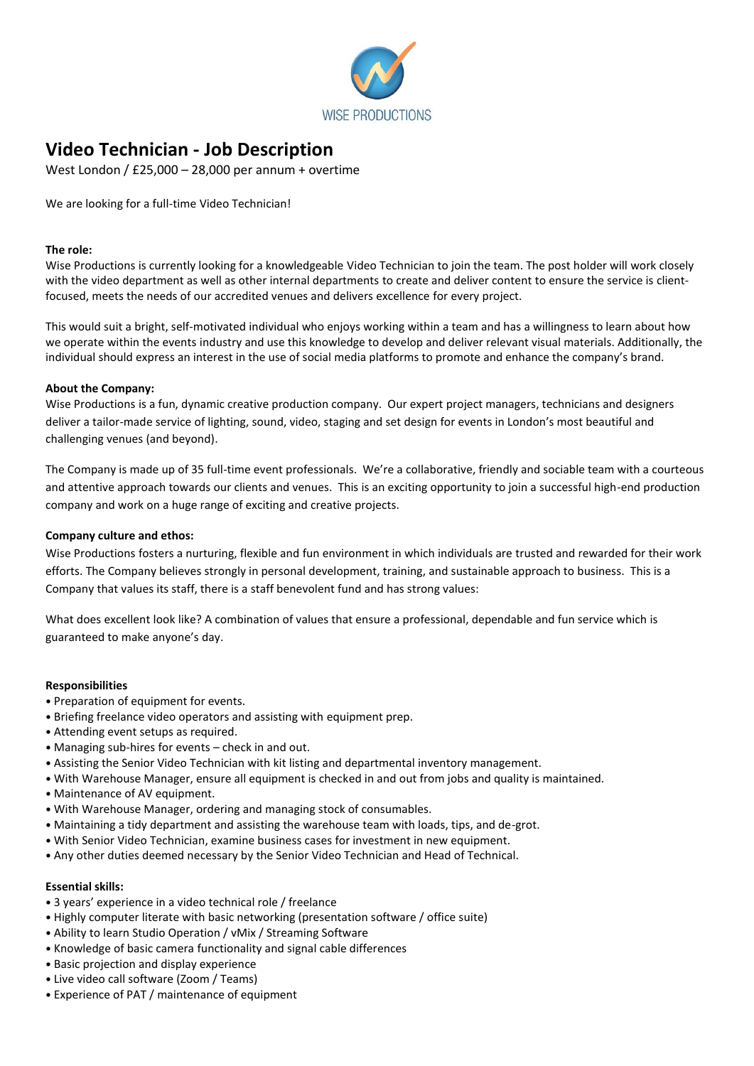

# **Video Technician - Job Description**

West London / £25,000 – 28,000 per annum + overtime

We are looking for a full-time Video Technician!

#### **The role:**

Wise Productions is currently looking for a knowledgeable Video Technician to join the team. The post holder will work closely with the video department as well as other internal departments to create and deliver content to ensure the service is clientfocused, meets the needs of our accredited venues and delivers excellence for every project.

This would suit a bright, self-motivated individual who enjoys working within a team and has a willingness to learn about how we operate within the events industry and use this knowledge to develop and deliver relevant visual materials. Additionally, the individual should express an interest in the use of social media platforms to promote and enhance the company's brand.

#### **About the Company:**

Wise Productions is a fun, dynamic creative production company. Our expert project managers, technicians and designers deliver a tailor-made service of lighting, sound, video, staging and set design for events in London's most beautiful and challenging venues (and beyond).

The Company is made up of 35 full-time event professionals. We're a collaborative, friendly and sociable team with a courteous and attentive approach towards our clients and venues. This is an exciting opportunity to join a successful high-end production company and work on a huge range of exciting and creative projects.

### **Company culture and ethos:**

Wise Productions fosters a nurturing, flexible and fun environment in which individuals are trusted and rewarded for their work efforts. The Company believes strongly in personal development, training, and sustainable approach to business. This is a Company that values its staff, there is a staff benevolent fund and has strong values:

What does excellent look like? A combination of values that ensure a professional, dependable and fun service which is guaranteed to make anyone's day.

#### **Responsibilities**

- Preparation of equipment for events.
- Briefing freelance video operators and assisting with equipment prep.
- Attending event setups as required.
- Managing sub-hires for events check in and out.
- Assisting the Senior Video Technician with kit listing and departmental inventory management.
- With Warehouse Manager, ensure all equipment is checked in and out from jobs and quality is maintained.
- Maintenance of AV equipment.
- With Warehouse Manager, ordering and managing stock of consumables.
- Maintaining a tidy department and assisting the warehouse team with loads, tips, and de-grot.
- With Senior Video Technician, examine business cases for investment in new equipment.
- Any other duties deemed necessary by the Senior Video Technician and Head of Technical.

### **Essential skills:**

- 3 years' experience in a video technical role / freelance
- Highly computer literate with basic networking (presentation software / office suite)
- Ability to learn Studio Operation / vMix / Streaming Software
- Knowledge of basic camera functionality and signal cable differences
- Basic projection and display experience
- Live video call software (Zoom / Teams)
- Experience of PAT / maintenance of equipment